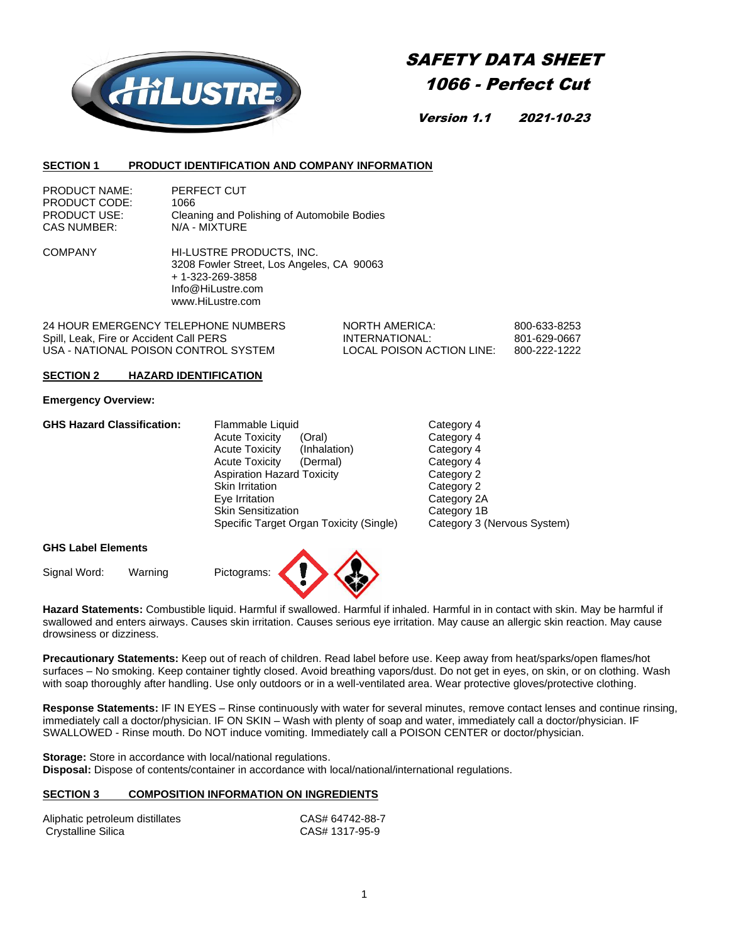

# SAFETY DATA SHEET 1066 - Perfect Cut

Version 1.1 2021-10-23

#### **SECTION 1 PRODUCT IDENTIFICATION AND COMPANY INFORMATION**

| <b>PRODUCT NAME:</b> | PERFECT CUT                                 |
|----------------------|---------------------------------------------|
| PRODUCT CODE:        | 1066                                        |
| <b>PRODUCT USE:</b>  | Cleaning and Polishing of Automobile Bodies |
| <b>CAS NUMBER:</b>   | N/A - MIXTURE                               |

COMPANY HI-LUSTRE PRODUCTS, INC. 3208 Fowler Street, Los Angeles, CA 90063 + 1-323-269-3858 Info@HiLustre.com www.HiLustre.com

24 HOUR EMERGENCY TELEPHONE NUMBERS NORTH AMERICA: 600-633-8253<br>1991 | Spill Leak, Fire or Accident Call PERS Spill, Leak, Fire or Accident Call PERS **INTERNATIONAL:** 801-629-0667<br>USA - NATIONAL POISON CONTROL SYSTEM LOCAL POISON ACTION LINE: 800-222-1222 USA - NATIONAL POISON CONTROL SYSTEM LOCAL POISON ACTION LINE: 800-222-1222

#### **SECTION 2 HAZARD IDENTIFICATION**

#### **Emergency Overview:**

| <b>GHS Hazard Classification:</b> | Flammable Liquid                        | Category 4                  |
|-----------------------------------|-----------------------------------------|-----------------------------|
|                                   | <b>Acute Toxicity</b><br>(Oral)         | Category 4                  |
|                                   | <b>Acute Toxicity</b><br>(Inhalation)   | Category 4                  |
|                                   | <b>Acute Toxicity</b><br>(Dermal)       | Category 4                  |
|                                   | <b>Aspiration Hazard Toxicity</b>       | Category 2                  |
|                                   | Skin Irritation                         | Category 2                  |
|                                   | Eye Irritation                          | Category 2A                 |
|                                   | <b>Skin Sensitization</b>               | Category 1B                 |
|                                   | Specific Target Organ Toxicity (Single) | Category 3 (Nervous System) |
|                                   |                                         |                             |

#### **GHS Label Elements**

Signal Word: Warning Pictograms:

**Hazard Statements:** Combustible liquid. Harmful if swallowed. Harmful if inhaled. Harmful in in contact with skin. May be harmful if swallowed and enters airways. Causes skin irritation. Causes serious eye irritation. May cause an allergic skin reaction. May cause drowsiness or dizziness.

**Precautionary Statements:** Keep out of reach of children. Read label before use. Keep away from heat/sparks/open flames/hot surfaces – No smoking. Keep container tightly closed. Avoid breathing vapors/dust. Do not get in eyes, on skin, or on clothing. Wash with soap thoroughly after handling. Use only outdoors or in a well-ventilated area. Wear protective gloves/protective clothing.

**Response Statements:** IF IN EYES – Rinse continuously with water for several minutes, remove contact lenses and continue rinsing, immediately call a doctor/physician. IF ON SKIN – Wash with plenty of soap and water, immediately call a doctor/physician. IF SWALLOWED - Rinse mouth. Do NOT induce vomiting. Immediately call a POISON CENTER or doctor/physician.

**Storage:** Store in accordance with local/national regulations. **Disposal:** Dispose of contents/container in accordance with local/national/international regulations.

## **SECTION 3 COMPOSITION INFORMATION ON INGREDIENTS**

| Aliphatic petroleum distillates | CAS# 64742-88-7 |
|---------------------------------|-----------------|
| Crystalline Silica              | CAS# 1317-95-9  |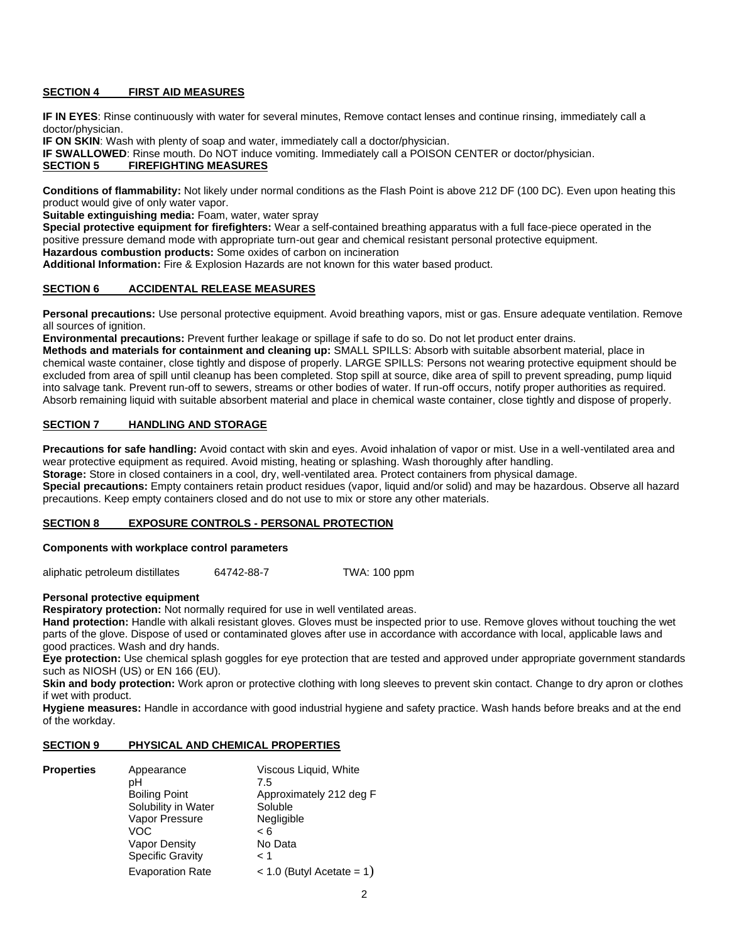#### **SECTION 4 FIRST AID MEASURES**

**IF IN EYES**: Rinse continuously with water for several minutes, Remove contact lenses and continue rinsing, immediately call a doctor/physician.

**IF ON SKIN:** Wash with plenty of soap and water, immediately call a doctor/physician.

**IF SWALLOWED**: Rinse mouth. Do NOT induce vomiting. Immediately call a POISON CENTER or doctor/physician. **SECTION 5 FIREFIGHTING MEASURES**

**Conditions of flammability:** Not likely under normal conditions as the Flash Point is above 212 DF (100 DC). Even upon heating this product would give of only water vapor.

**Suitable extinguishing media:** Foam, water, water spray

**Special protective equipment for firefighters:** Wear a self-contained breathing apparatus with a full face-piece operated in the positive pressure demand mode with appropriate turn-out gear and chemical resistant personal protective equipment. **Hazardous combustion products:** Some oxides of carbon on incineration

**Additional Information:** Fire & Explosion Hazards are not known for this water based product.

#### **SECTION 6 ACCIDENTAL RELEASE MEASURES**

**Personal precautions:** Use personal protective equipment. Avoid breathing vapors, mist or gas. Ensure adequate ventilation. Remove all sources of ignition.

**Environmental precautions:** Prevent further leakage or spillage if safe to do so. Do not let product enter drains.

**Methods and materials for containment and cleaning up:** SMALL SPILLS: Absorb with suitable absorbent material, place in chemical waste container, close tightly and dispose of properly. LARGE SPILLS: Persons not wearing protective equipment should be excluded from area of spill until cleanup has been completed. Stop spill at source, dike area of spill to prevent spreading, pump liquid into salvage tank. Prevent run-off to sewers, streams or other bodies of water. If run-off occurs, notify proper authorities as required. Absorb remaining liquid with suitable absorbent material and place in chemical waste container, close tightly and dispose of properly.

#### **SECTION 7 HANDLING AND STORAGE**

**Precautions for safe handling:** Avoid contact with skin and eyes. Avoid inhalation of vapor or mist. Use in a well-ventilated area and wear protective equipment as required. Avoid misting, heating or splashing. Wash thoroughly after handling.

**Storage:** Store in closed containers in a cool, dry, well-ventilated area. Protect containers from physical damage.

**Special precautions:** Empty containers retain product residues (vapor, liquid and/or solid) and may be hazardous. Observe all hazard precautions. Keep empty containers closed and do not use to mix or store any other materials.

## **SECTION 8 EXPOSURE CONTROLS - PERSONAL PROTECTION**

#### **Components with workplace control parameters**

aliphatic petroleum distillates 64742-88-7 TWA: 100 ppm

**Personal protective equipment**

**Respiratory protection:** Not normally required for use in well ventilated areas.

**Hand protection:** Handle with alkali resistant gloves. Gloves must be inspected prior to use. Remove gloves without touching the wet parts of the glove. Dispose of used or contaminated gloves after use in accordance with accordance with local, applicable laws and good practices. Wash and dry hands.

**Eye protection:** Use chemical splash goggles for eye protection that are tested and approved under appropriate government standards such as NIOSH (US) or EN 166 (EU).

**Skin and body protection:** Work apron or protective clothing with long sleeves to prevent skin contact. Change to dry apron or clothes if wet with product.

**Hygiene measures:** Handle in accordance with good industrial hygiene and safety practice. Wash hands before breaks and at the end of the workday.

## **SECTION 9 PHYSICAL AND CHEMICAL PROPERTIES**

| <b>Properties</b> | Appearance              | Viscous Liquid, White       |
|-------------------|-------------------------|-----------------------------|
|                   | pН                      | 7.5                         |
|                   | <b>Boiling Point</b>    | Approximately 212 deg F     |
|                   | Solubility in Water     | Soluble                     |
|                   | Vapor Pressure          | Negligible                  |
|                   | VOC.                    | < 6                         |
|                   | <b>Vapor Density</b>    | No Data                     |
|                   | <b>Specific Gravity</b> | < 1                         |
|                   | <b>Evaporation Rate</b> | $<$ 1.0 (Butyl Acetate = 1) |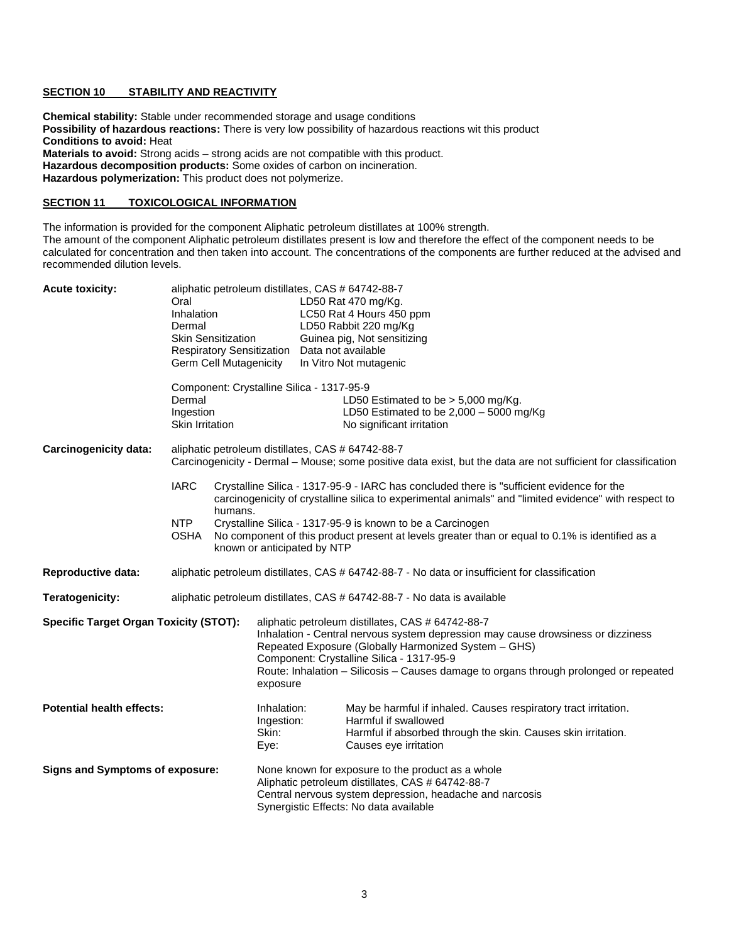#### **SECTION 10 STABILITY AND REACTIVITY**

**Chemical stability:** Stable under recommended storage and usage conditions **Possibility of hazardous reactions:** There is very low possibility of hazardous reactions wit this product **Conditions to avoid:** Heat **Materials to avoid:** Strong acids – strong acids are not compatible with this product. **Hazardous decomposition products:** Some oxides of carbon on incineration. **Hazardous polymerization:** This product does not polymerize.

#### **SECTION 11 TOXICOLOGICAL INFORMATION**

The information is provided for the component Aliphatic petroleum distillates at 100% strength. The amount of the component Aliphatic petroleum distillates present is low and therefore the effect of the component needs to be calculated for concentration and then taken into account. The concentrations of the components are further reduced at the advised and recommended dilution levels.

| <b>Acute toxicity:</b>                        | aliphatic petroleum distillates, CAS # 64742-88-7<br>LD50 Rat 470 mg/Kg.<br>Oral<br>Inhalation<br>LC50 Rat 4 Hours 450 ppm<br>LD50 Rabbit 220 mg/Kg<br>Dermal<br><b>Skin Sensitization</b><br>Guinea pig, Not sensitizing<br><b>Respiratory Sensitization</b><br>Data not available<br><b>Germ Cell Mutagenicity</b><br>In Vitro Not mutagenic  |  |  |
|-----------------------------------------------|-------------------------------------------------------------------------------------------------------------------------------------------------------------------------------------------------------------------------------------------------------------------------------------------------------------------------------------------------|--|--|
|                                               | Component: Crystalline Silica - 1317-95-9<br>Dermal<br>LD50 Estimated to be $> 5,000$ mg/Kg.<br>Ingestion<br>LD50 Estimated to be $2,000 - 5000$ mg/Kg<br><b>Skin Irritation</b><br>No significant irritation                                                                                                                                   |  |  |
| <b>Carcinogenicity data:</b>                  | aliphatic petroleum distillates, CAS # 64742-88-7<br>Carcinogenicity - Dermal – Mouse; some positive data exist, but the data are not sufficient for classification                                                                                                                                                                             |  |  |
|                                               | <b>IARC</b><br>Crystalline Silica - 1317-95-9 - IARC has concluded there is "sufficient evidence for the<br>carcinogenicity of crystalline silica to experimental animals" and "limited evidence" with respect to<br>humans.                                                                                                                    |  |  |
|                                               | <b>NTP</b><br>Crystalline Silica - 1317-95-9 is known to be a Carcinogen<br>No component of this product present at levels greater than or equal to 0.1% is identified as a<br><b>OSHA</b><br>known or anticipated by NTP                                                                                                                       |  |  |
| <b>Reproductive data:</b>                     | aliphatic petroleum distillates, CAS # 64742-88-7 - No data or insufficient for classification                                                                                                                                                                                                                                                  |  |  |
| Teratogenicity:                               | aliphatic petroleum distillates, CAS # 64742-88-7 - No data is available                                                                                                                                                                                                                                                                        |  |  |
| <b>Specific Target Organ Toxicity (STOT):</b> | aliphatic petroleum distillates, CAS # 64742-88-7<br>Inhalation - Central nervous system depression may cause drowsiness or dizziness<br>Repeated Exposure (Globally Harmonized System - GHS)<br>Component: Crystalline Silica - 1317-95-9<br>Route: Inhalation - Silicosis - Causes damage to organs through prolonged or repeated<br>exposure |  |  |
| <b>Potential health effects:</b>              | Inhalation:<br>May be harmful if inhaled. Causes respiratory tract irritation.<br>Ingestion:<br>Harmful if swallowed<br>Skin:<br>Harmful if absorbed through the skin. Causes skin irritation.<br>Eye:<br>Causes eye irritation                                                                                                                 |  |  |
| <b>Signs and Symptoms of exposure:</b>        | None known for exposure to the product as a whole<br>Aliphatic petroleum distillates, CAS # 64742-88-7<br>Central nervous system depression, headache and narcosis<br>Synergistic Effects: No data available                                                                                                                                    |  |  |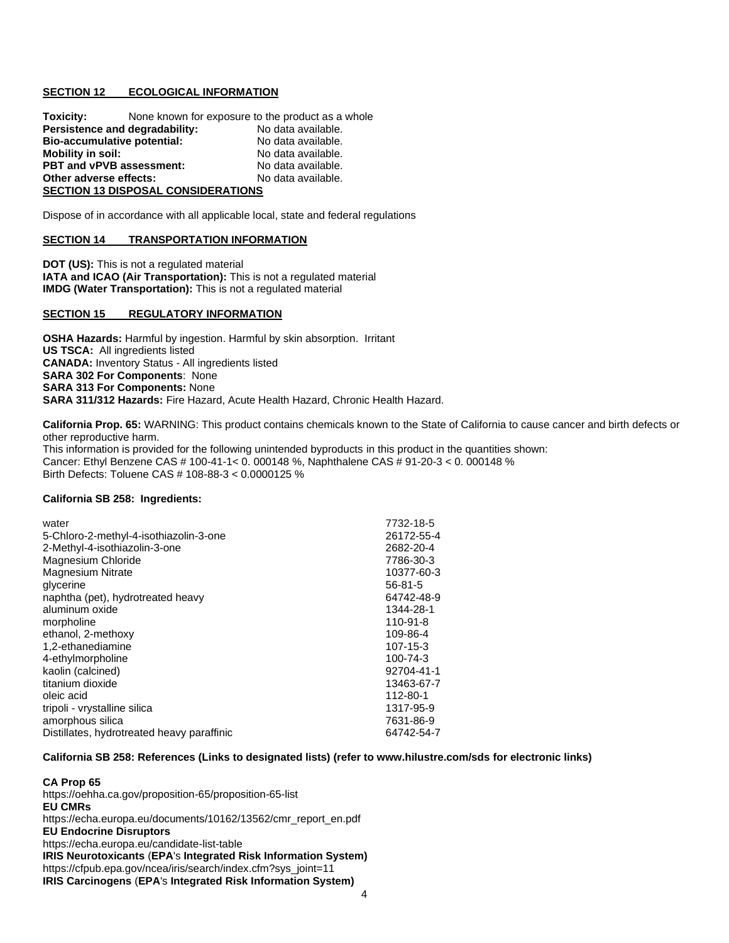#### **SECTION 12 ECOLOGICAL INFORMATION**

**Toxicity:** None known for exposure to the product as a whole **Persistence and degradability:** No data available. **Bio-accumulative potential:** No data available. **Mobility in soil:** No data available. **PBT and vPVB assessment: No data available.**<br> **Other adverse effects: No data available. Other adverse effects: SECTION 13 DISPOSAL CONSIDERATIONS**

Dispose of in accordance with all applicable local, state and federal regulations

#### **SECTION 14 TRANSPORTATION INFORMATION**

**DOT (US):** This is not a regulated material **IATA and ICAO (Air Transportation):** This is not a regulated material **IMDG (Water Transportation):** This is not a regulated material

#### **SECTION 15 REGULATORY INFORMATION**

**OSHA Hazards:** Harmful by ingestion. Harmful by skin absorption. Irritant **US TSCA:** All ingredients listed **CANADA:** Inventory Status - All ingredients listed **SARA 302 For Components**: None **SARA 313 For Components:** None **SARA 311/312 Hazards:** Fire Hazard, Acute Health Hazard, Chronic Health Hazard.

**California Prop. 65:** WARNING: This product contains chemicals known to the State of California to cause cancer and birth defects or other reproductive harm. This information is provided for the following unintended byproducts in this product in the quantities shown: Cancer: Ethyl Benzene CAS # 100-41-1< 0. 000148 %, Naphthalene CAS # 91-20-3 < 0. 000148 % Birth Defects: Toluene CAS # 108-88-3 < 0.0000125 %

#### **California SB 258: Ingredients:**

| water                                      | 7732-18-5  |
|--------------------------------------------|------------|
| 5-Chloro-2-methyl-4-isothiazolin-3-one     | 26172-55-4 |
| 2-Methyl-4-isothiazolin-3-one              | 2682-20-4  |
| Magnesium Chloride                         | 7786-30-3  |
| <b>Magnesium Nitrate</b>                   | 10377-60-3 |
| glycerine                                  | 56-81-5    |
| naphtha (pet), hydrotreated heavy          | 64742-48-9 |
| aluminum oxide                             | 1344-28-1  |
| morpholine                                 | 110-91-8   |
| ethanol, 2-methoxy                         | 109-86-4   |
| 1.2-ethanediamine                          | 107-15-3   |
| 4-ethylmorpholine                          | 100-74-3   |
| kaolin (calcined)                          | 92704-41-1 |
| titanium dioxide                           | 13463-67-7 |
| oleic acid                                 | 112-80-1   |
| tripoli - vrystalline silica               | 1317-95-9  |
| amorphous silica                           | 7631-86-9  |
| Distillates, hydrotreated heavy paraffinic | 64742-54-7 |

#### **California SB 258: References (Links to designated lists) (refer t[o www.hilustre.com/sds](http://www.hilustre.com/sds) for electronic links)**

# **CA Prop 65**

<https://oehha.ca.gov/proposition-65/proposition-65-list> **EU CMRs** [https://echa.europa.eu/documents/10162/13562/cmr\\_report\\_en.pdf](https://echa.europa.eu/documents/10162/13562/cmr_report_en.pdf) **EU Endocrine Disruptors** <https://echa.europa.eu/candidate-list-table> **IRIS Neurotoxicants** (**EPA**'s **Integrated Risk Information System)** [https://cfpub.epa.gov/ncea/iris/search/index.cfm?sys\\_joint=11](https://cfpub.epa.gov/ncea/iris/search/index.cfm?sys_joint=11) **IRIS Carcinogens** (**EPA**'s **Integrated Risk Information System)**